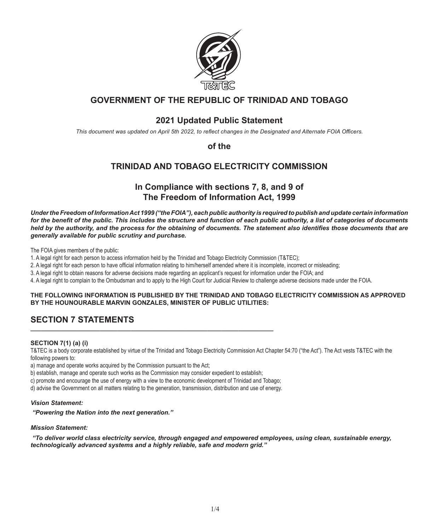

# **GOVERNMENT OF THE REPUBLIC OF TRINIDAD AND TOBAGO**

# **2021 Updated Public Statement**

*This document was updated on April 5th 2022, to reflect changes in the Designated and Alternate FOIA Officers.*

**of the**

# **TRINIDAD AND TOBAGO ELECTRICITY COMMISSION**

# **In Compliance with sections 7, 8, and 9 of The Freedom of Information Act, 1999**

*Under the Freedom of Information Act 1999 ("the FOIA"), each public authority is required to publish and update certain information for the benefit of the public. This includes the structure and function of each public authority, a list of categories of documents held by the authority, and the process for the obtaining of documents. The statement also identifies those documents that are generally available for public scrutiny and purchase.*

The FOIA gives members of the public:

1. A legal right for each person to access information held by the Trinidad and Tobago Electricity Commission (T&TEC);

2. A legal right for each person to have official information relating to him/herself amended where it is incomplete, incorrect or misleading;

3. A legal right to obtain reasons for adverse decisions made regarding an applicant's request for information under the FOIA; and

4. A legal right to complain to the Ombudsman and to apply to the High Court for Judicial Review to challenge adverse decisions made under the FOIA.

# **THE FOLLOWING INFORMATION IS PUBLISHED BY THE TRINIDAD AND TOBAGO ELECTRICITY COMMISSION AS APPROVED BY THE HOUNOURABLE MARVIN GONZALES, MINISTER OF PUBLIC UTILITIES:**

# **SECTION 7 STATEMENTS**

# **SECTION 7(1) (a) (i)**

T&TEC is a body corporate established by virtue of the Trinidad and Tobago Electricity Commission Act Chapter 54:70 ("the Act"). The Act vests T&TEC with the following powers to:

a) manage and operate works acquired by the Commission pursuant to the Act;

b) establish, manage and operate such works as the Commission may consider expedient to establish;

c) promote and encourage the use of energy with a view to the economic development of Trinidad and Tobago;

*\_\_\_\_\_\_\_\_\_\_\_\_\_\_\_\_\_\_\_\_\_\_\_\_\_\_\_\_\_\_\_\_\_\_\_\_\_\_\_\_\_\_\_\_\_\_\_\_\_\_\_\_\_\_\_\_\_\_\_\_\_\_\_\_\_\_\_\_\_\_*

d) advise the Government on all matters relating to the generation, transmission, distribution and use of energy.

# *Vision Statement:*

 *"Powering the Nation into the next generation."*

# *Mission Statement:*

*"To deliver world class electricity service, through engaged and empowered employees, using clean, sustainable energy, technologically advanced systems and a highly reliable, safe and modern grid."*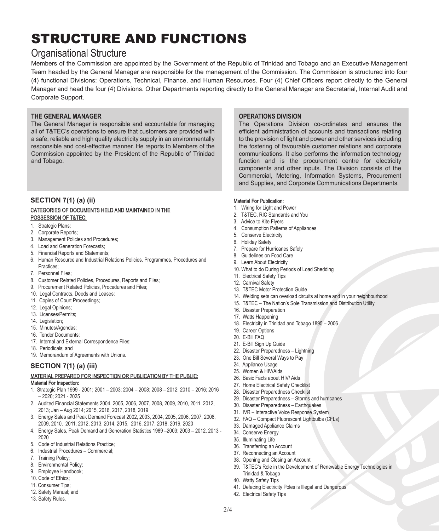# STRUCTURE AND FUNCTIONS

# Organisational Structure

Members of the Commission are appointed by the Government of the Republic of Trinidad and Tobago and an Executive Management Team headed by the General Manager are responsible for the management of the Commission. The Commission is structured into four (4) functional Divisions: Operations, Technical, Finance, and Human Resources. Four (4) Chief Officers report directly to the General Manager and head the four (4) Divisions. Other Departments reporting directly to the General Manager are Secretarial, Internal Audit and Corporate Support.

# **THE GENERAL MANAGER**

The General Manager is responsible and accountable for managing all of T&TEC's operations to ensure that customers are provided with a safe, reliable and high quality electricity supply in an environmentally responsible and cost-effective manner. He reports to Members of the Commission appointed by the President of the Republic of Trinidad and Tobago.

# **SECTION 7(1) (a) (ii)**  CATEGORIES OF DOCUMENTS HELD AND MAINTAINED IN THE POSSESSION OF T&TEC:

- 1. Strategic Plans;
- 2. Corporate Reports;
- 3. Management Policies and Procedures;
- 4. Load and Generation Forecasts;
- 5. Financial Reports and Statements;
- 6. Human Resource and Industrial Relations Policies, Programmes, Procedures and Practices;
- 7. Personnel Files;
- 8. Customer Related Policies, Procedures, Reports and Files;
- 9. Procurement Related Policies, Procedures and Files;
- 10. Legal Contracts, Deeds and Leases;
- 11. Copies of Court Proceedings;
- 12. Legal Opinions;
- 13. Licenses/Permits;
- 14. Legislation;
- 15. Minutes/Agendas;
- 16. Tender Documents;
- 17. Internal and External Correspondence Files;
- 18. Periodicals; and
- 19. Memorandum of Agreements with Unions.

# **SECTION 7(1) (a) (iii)**

# MATERIAL PREPARED FOR INSPECTION OR PUBLICATION BY THE PUBLIC: Material For Inspection:

- 1. Strategic Plan 1999 2001; 2001 2003; 2004 2008; 2008 2012; 2010 2016; 2016 – 2020; 2021 - 2025
- 2. Audited Financial Statements 2004, 2005, 2006, 2007, 2008, 2009, 2010, 2011, 2012, 2013; Jan – Aug 2014; 2015, 2016, 2017, 2018, 2019
- 3. Energy Sales and Peak Demand Forecast 2002, 2003, 2004, 2005, 2006, 2007, 2008, 2009, 2010, 2011, 2012, 2013, 2014, 2015, 2016, 2017, 2018, 2019, 2020
- 4. Energy Sales, Peak Demand and Generation Statistics 1989 –2003; 2003 2012, 2013 2020
- 5. Code of Industrial Relations Practice;
- 6. Industrial Procedures Commercial;
- 7. Training Policy;
- 8. Environmental Policy;
- 9. Employee Handbook;
- 10. Code of Ethics;
- 11. Consumer Tips;
- 12. Safety Manual; and
- 13. Safety Rules.

# **OPERATIONS DIVISION**

The Operations Division co-ordinates and ensures the efficient administration of accounts and transactions relating to the provision of light and power and other services including the fostering of favourable customer relations and corporate communications. It also performs the information technology function and is the procurement centre for electricity components and other inputs. The Division consists of the Commercial, Metering, Information Systems, Procurement and Supplies, and Corporate Communications Departments.

# Material For Publication:

- 1. Wiring for Light and Power
- 2. T&TEC, RIC Standards and You
- 3. Advice to Kite Flyers
- 4. Consumption Patterns of Appliances
- 5. Conserve Electricity
- 6. Holiday Safety
- 7. Prepare for Hurricanes Safely
- 8. Guidelines on Food Care
- 9. Learn About Electricity
- 10. What to do During Periods of Load Shedding
- 11. Electrical Safety Tips
- 12. Carnival Safety
- 13. T&TEC Motor Protection Guide
- 14. Welding sets can overload circuits at home and in your neighbourhood
- 15. T&TEC The Nation's Sole Transmission and Distribution Utility
- 16. Disaster Preparation
- 17. Watts Happening
- 18. Electricity in Trinidad and Tobago 1895 2006
- 19. Career Options
- 20. E-Bill FAQ
- 21. E-Bill Sign Up Guide
- 22. Disaster Preparedness Lightning
- 23. One Bill Several Ways to Pay
- 24. Appliance Usage
- 25. Women & HIV/Aids
- 26. Basic Facts about HIV/ Aids
- 27. Home Electrical Safety Checklist
- 28. Disaster Preparedness Checklist
- 29. Disaster Preparedness Storms and hurricanes
- 30. Disaster Preparedness Earthquakes
- 31. IVR Interactive Voice Response System
- 32. FAQ Compact Fluorescent Lightbulbs (CFLs)
- 33. Damaged Appliance Claims
- 34. Conserve Energy
- 35. Illuminating Life
- 36. Transferring an Account
- 37. Reconnecting an Account
- 38. Opening and Closing an Account
- 39. T&TEC's Role in the Development of Renewable Energy Technologies in Trinidad & Tobago
- 40. Watty Safety Tips
- 41. Defacing Electricity Poles is Illegal and Dangerous
- 42. Electrical Safety Tips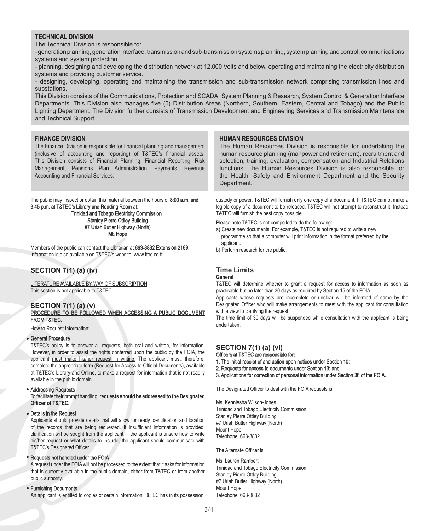# **TECHNICAL DIVISION**

The Technical Division is responsible for

- generation planning, generation interface, transmission and sub-transmission systems planning, system planning and control, communications systems and system protection.

- planning, designing and developing the distribution network at 12,000 Volts and below, operating and maintaining the electricity distribution systems and providing customer service.

- designing, developing, operating and maintaining the transmission and sub-transmission network comprising transmission lines and substations.

This Division consists of the Communications, Protection and SCADA, System Planning & Research, System Control & Generation Interface Departments. This Division also manages five (5) Distribution Areas (Northern, Southern, Eastern, Central and Tobago) and the Public Lighting Department. The Division further consists of Transmission Development and Engineering Services and Transmission Maintenance and Technical Support.

# **FINANCE DIVISION**

The Finance Division is responsible for financial planning and management (inclusive of accounting and reporting) of T&TEC's financial assets. This Division consists of Financial Planning, Financial Reporting, Risk Management, Pensions Plan Administration, Payments, Revenue Accounting and Financial Services.

The public may inspect or obtain this material between the hours of 8:00 a.m. and 3:45 p.m. at T&TEC's Library and Reading Room at:

 Trinidad and Tobago Electricity Commission Stanley Pierre Ottley Building #7 Uriah Butler Highway (North) Mt. Hope

Members of the public can contact the Librarian at 663-8832 Extension 2169. Information is also available on T&TEC's website: www.ttec.co.tt

# **SECTION 7(1) (a) (iv)**

LITERATURE AVAILABLE BY WAY OF SUBSCRIPTION This section is not applicable to T&TEC.

### **SECTION 7(1) (a) (v)** PROCEDURE TO BE FOLLOWED WHEN ACCESSING A PUBLIC DOCUMENT **FROM T&TEC.**

How to Request Information:

#### General Procedure

T&TEC's policy is to answer all requests, both oral and written, for information. However, in order to assist the rights conferred upon the public by the FOIA, the applicant must make his/her request in writing. The applicant must, therefore, complete the appropriate form (Request for Access to Official Documents), available at T&TEC's Library and Online, to make a request for information that is not readily available in the public domain.

### Addressing Requests

To facilitate their prompt handling, **requests should be addressed to the Designated Officer of T&TEC.**

#### Details in the Request

Applicants should provide details that will allow for ready identification and location of the records that are being requested. If insufficient information is provided, clarification will be sought from the applicant. If the applicant is unsure how to write his/her request or what details to include, the applicant should communicate with T&TEC's Designated Officer.

#### • Requests not handled under the FOIA

A request under the FOIA will not be processed to the extent that it asks for information that is currently available in the public domain, either from T&TEC or from another public authority.

#### Furnishing Documents

An applicant is entitled to copies of certain information T&TEC has in its possession,

# **HUMAN RESOURCES DIVISION**

The Human Resources Division is responsible for undertaking the human resource planning (manpower and retirement), recruitment and selection, training, evaluation, compensation and Industrial Relations functions. The Human Resources Division is also responsible for the Health, Safety and Environment Department and the Security Department.

custody or power. T&TEC will furnish only one copy of a document. If T&TEC cannot make a legible copy of a document to be released, T&TEC will not attempt to reconstruct it. Instead T&TEC will furnish the best copy possible.

Please note T&TEC is not compelled to do the following:

a) Create new documents. For example, T&TEC is not required to write a new programme so that a computer will print information in the format preferred by the applicant.

b) Perform research for the public.

# **Time Limits General**

T&TEC will determine whether to grant a request for access to information as soon as practicable but no later than 30 days as required by Section 15 of the FOIA.

Applicants whose requests are incomplete or unclear will be informed of same by the Designated Officer who will make arrangements to meet with the applicant for consultation with a view to clarifying the request.

The time limit of 30 days will be suspended while consultation with the applicant is being undertaken.

# **SECTION 7(1) (a) (vi)**

Officers at T&TEC are responsible for:

1. The initial receipt of and action upon notices under Section 10;

2. Requests for access to documents under Section 13; and

3. Applications for correction of personal information under Section 36 of the FOIA.

The Designated Officer to deal with the FOIA requests is:

Ms. Kenniesha Wilson-Jones Trinidad and Tobago Electricity Commission Stanley Pierre Ottley Building #7 Uriah Butler Highway (North) Mount Hope Telephone: 663-8832

The Alternate Officer is:

Ms. Lauren Rambert Trinidad and Tobago Electricity Commission Stanley Pierre Ottley Building #7 Uriah Butler Highway (North) Mount Hope Telephone: 663-8832